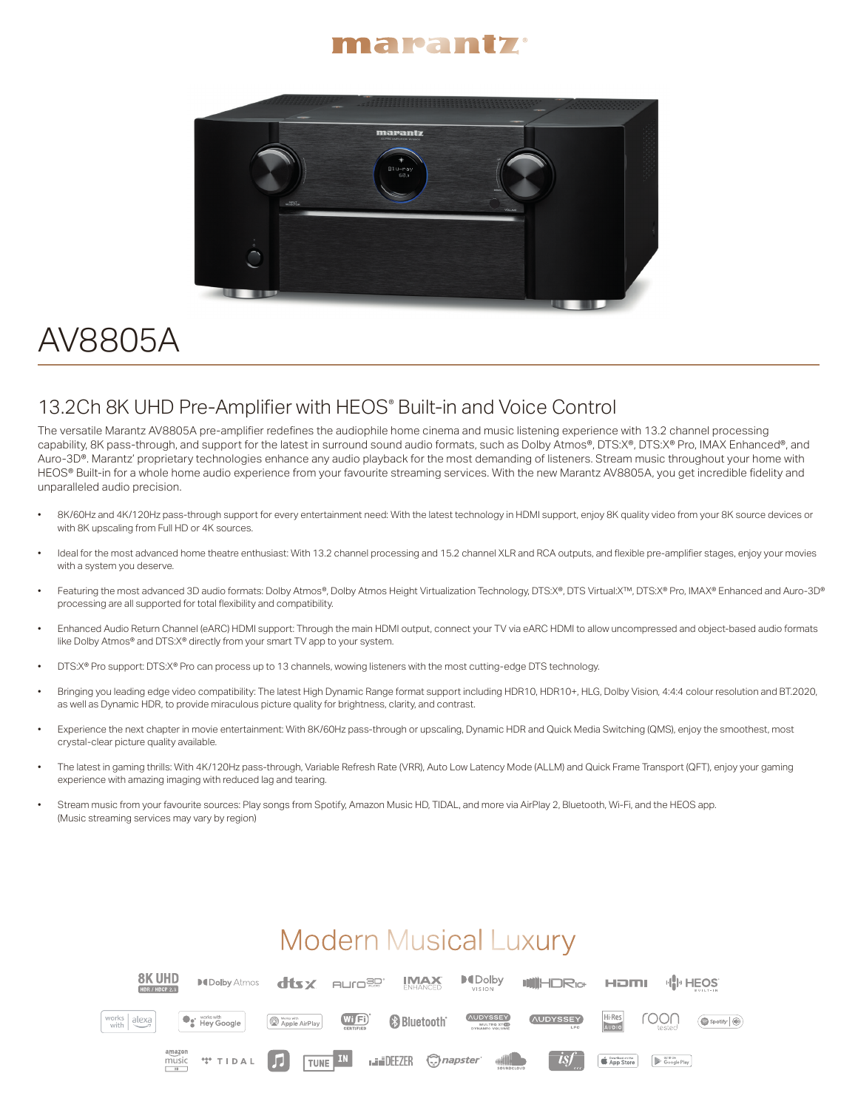#### marantz



# AV8805A

### 13.2Ch 8K UHD Pre-Amplifier with HEOS® Built-in and Voice Control

The versatile Marantz AV8805A pre-amplifier redefines the audiophile home cinema and music listening experience with 13.2 channel processing capability, 8K pass-through, and support for the latest in surround sound audio formats, such as Dolby Atmos®, DTS:X®, DTS:X® Pro, IMAX Enhanced®, and Auro-3D®. Marantz' proprietary technologies enhance any audio playback for the most demanding of listeners. Stream music throughout your home with HEOS® Built-in for a whole home audio experience from your favourite streaming services. With the new Marantz AV8805A, you get incredible fidelity and unparalleled audio precision.

- 8K/60Hz and 4K/120Hz pass-through support for every entertainment need: With the latest technology in HDMI support, enjoy 8K quality video from your 8K source devices or with 8K upscaling from Full HD or 4K sources.
- Ideal for the most advanced home theatre enthusiast: With 13.2 channel processing and 15.2 channel XLR and RCA outputs, and flexible pre-amplifier stages, enjoy your movies with a system you deserve.
- Featuring the most advanced 3D audio formats: Dolby Atmos®, Dolby Atmos Height Virtualization Technology, DTS:X®, DTS Virtual:X™, DTS:X® Pro, IMAX® Enhanced and Auro-3D® processing are all supported for total flexibility and compatibility.
- Enhanced Audio Return Channel (eARC) HDMI support: Through the main HDMI output, connect your TV via eARC HDMI to allow uncompressed and object-based audio formats like Dolby Atmos® and DTS:X® directly from your smart TV app to your system.
- DTS:X® Pro support: DTS:X® Pro can process up to 13 channels, wowing listeners with the most cutting-edge DTS technology.
- Bringing you leading edge video compatibility: The latest High Dynamic Range format support including HDR10, HDR10+, HLG, Dolby Vision, 4:4:4 colour resolution and BT.2020, as well as Dynamic HDR, to provide miraculous picture quality for brightness, clarity, and contrast.
- Experience the next chapter in movie entertainment: With 8K/60Hz pass-through or upscaling, Dynamic HDR and Quick Media Switching (QMS), enjoy the smoothest, most crystal-clear picture quality available.
- The latest in gaming thrills: With 4K/120Hz pass-through, Variable Refresh Rate (VRR), Auto Low Latency Mode (ALLM) and Quick Frame Transport (QFT), enjoy your gaming experience with amazing imaging with reduced lag and tearing.
- Stream music from your favourite sources: Play songs from Spotify, Amazon Music HD, TIDAL, and more via AirPlay 2, Bluetooth, Wi-Fi, and the HEOS app. (Music streaming services may vary by region)

## **Modern Musical Luxury**